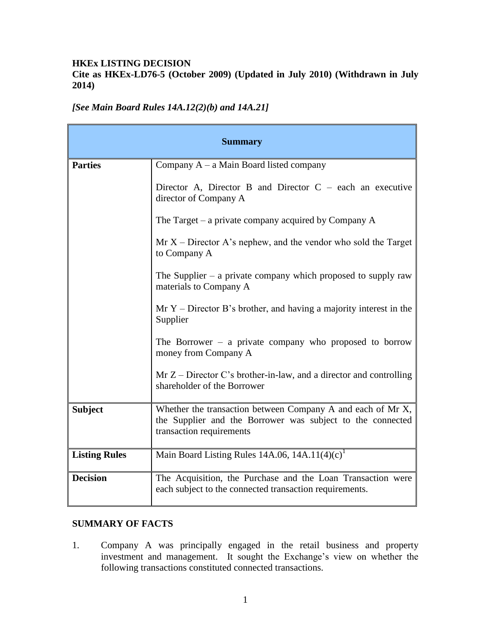#### **HKEx LISTING DECISION**

**Cite as HKEx-LD76-5 (October 2009) (Updated in July 2010) (Withdrawn in July 2014)**

**Summary Parties** Company A – a Main Board listed company Director A, Director B and Director  $C$  – each an executive director of Company A The Target – a private company acquired by Company A  $Mr X - Director A's nephew, and the vendor who sold the Target$ to Company A The Supplier  $-$  a private company which proposed to supply raw materials to Company A Mr  $Y$  – Director B's brother, and having a majority interest in the Supplier The Borrower – a private company who proposed to borrow money from Company A  $Mr Z - Director C's brother-in-law, and a director and controlling$ shareholder of the Borrower **Subject** Whether the transaction between Company A and each of Mr X, the Supplier and the Borrower was subject to the connected transaction requirements **Listing Rules** Main Board Listing Rules  $14A.06$ ,  $14A.11(4)(c)^{1}$ **Decision** The Acquisition, the Purchase and the Loan Transaction were each subject to the connected transaction requirements.

*[See Main Board Rules 14A.12(2)(b) and 14A.21]*

#### **SUMMARY OF FACTS**

1. Company A was principally engaged in the retail business and property investment and management. It sought the Exchange's view on whether the following transactions constituted connected transactions.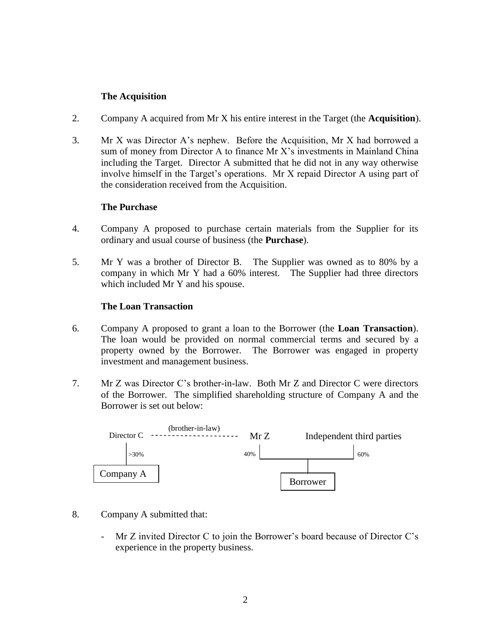#### **The Acquisition**

- 2. Company A acquired from Mr X his entire interest in the Target (the **Acquisition**).
- 3. Mr X was Director A's nephew. Before the Acquisition, Mr X had borrowed a sum of money from Director A to finance Mr X's investments in Mainland China including the Target. Director A submitted that he did not in any way otherwise involve himself in the Target's operations. Mr X repaid Director A using part of the consideration received from the Acquisition.

#### **The Purchase**

- 4. Company A proposed to purchase certain materials from the Supplier for its ordinary and usual course of business (the **Purchase**).
- 5. Mr Y was a brother of Director B. The Supplier was owned as to 80% by a company in which Mr Y had a 60% interest. The Supplier had three directors which included Mr Y and his spouse.

#### **The Loan Transaction**

- 6. Company A proposed to grant a loan to the Borrower (the **Loan Transaction**). The loan would be provided on normal commercial terms and secured by a property owned by the Borrower. The Borrower was engaged in property investment and management business.
- 7. Mr Z was Director C's brother-in-law. Both Mr Z and Director C were directors of the Borrower. The simplified shareholding structure of Company A and the Borrower is set out below:



- 8. Company A submitted that:
	- Mr Z invited Director C to join the Borrower's board because of Director C's experience in the property business.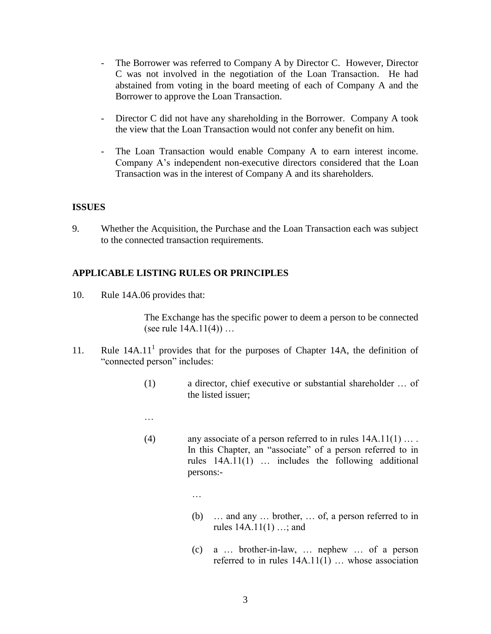- The Borrower was referred to Company A by Director C. However, Director C was not involved in the negotiation of the Loan Transaction. He had abstained from voting in the board meeting of each of Company A and the Borrower to approve the Loan Transaction.
- Director C did not have any shareholding in the Borrower. Company A took the view that the Loan Transaction would not confer any benefit on him.
- The Loan Transaction would enable Company A to earn interest income. Company A's independent non-executive directors considered that the Loan Transaction was in the interest of Company A and its shareholders.

#### **ISSUES**

9. Whether the Acquisition, the Purchase and the Loan Transaction each was subject to the connected transaction requirements.

## **APPLICABLE LISTING RULES OR PRINCIPLES**

…

10. Rule 14A.06 provides that:

The Exchange has the specific power to deem a person to be connected (see rule 14A.11(4)) …

- 11. Rule  $14A.11<sup>1</sup>$  provides that for the purposes of Chapter 14A, the definition of "connected person" includes:
	- (1) a director, chief executive or substantial shareholder … of the listed issuer;
	- …
	- (4) any associate of a person referred to in rules 14A.11(1) … . In this Chapter, an "associate" of a person referred to in rules 14A.11(1) … includes the following additional persons:-
		- (b) … and any … brother, … of, a person referred to in rules 14A.11(1) …; and
		- (c) a … brother-in-law, … nephew … of a person referred to in rules 14A.11(1) … whose association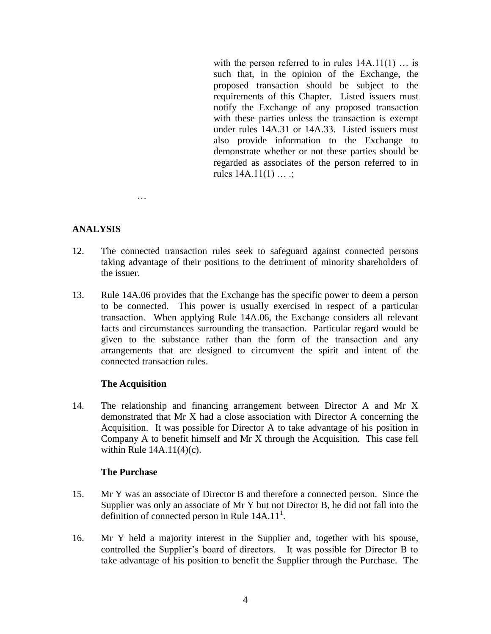with the person referred to in rules  $14A.11(1)$  ... is such that, in the opinion of the Exchange, the proposed transaction should be subject to the requirements of this Chapter. Listed issuers must notify the Exchange of any proposed transaction with these parties unless the transaction is exempt under rules 14A.31 or 14A.33. Listed issuers must also provide information to the Exchange to demonstrate whether or not these parties should be regarded as associates of the person referred to in rules  $14A.11(1) \ldots$ ;

## **ANALYSIS**

- 12. The connected transaction rules seek to safeguard against connected persons taking advantage of their positions to the detriment of minority shareholders of the issuer.
- 13. Rule 14A.06 provides that the Exchange has the specific power to deem a person to be connected. This power is usually exercised in respect of a particular transaction. When applying Rule 14A.06, the Exchange considers all relevant facts and circumstances surrounding the transaction. Particular regard would be given to the substance rather than the form of the transaction and any arrangements that are designed to circumvent the spirit and intent of the connected transaction rules.

#### **The Acquisition**

…

14. The relationship and financing arrangement between Director A and Mr X demonstrated that Mr X had a close association with Director A concerning the Acquisition. It was possible for Director A to take advantage of his position in Company A to benefit himself and Mr X through the Acquisition. This case fell within Rule 14A.11(4)(c).

#### **The Purchase**

- 15. Mr Y was an associate of Director B and therefore a connected person. Since the Supplier was only an associate of Mr Y but not Director B, he did not fall into the definition of connected person in Rule  $14A.11<sup>1</sup>$ .
- 16. Mr Y held a majority interest in the Supplier and, together with his spouse, controlled the Supplier's board of directors. It was possible for Director B to take advantage of his position to benefit the Supplier through the Purchase. The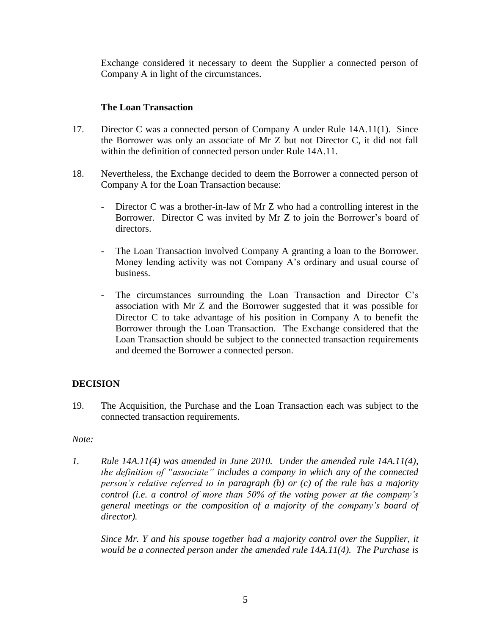Exchange considered it necessary to deem the Supplier a connected person of Company A in light of the circumstances.

## **The Loan Transaction**

- 17. Director C was a connected person of Company A under Rule 14A.11(1). Since the Borrower was only an associate of Mr Z but not Director C, it did not fall within the definition of connected person under Rule 14A.11.
- 18. Nevertheless, the Exchange decided to deem the Borrower a connected person of Company A for the Loan Transaction because:
	- Director C was a brother-in-law of Mr Z who had a controlling interest in the Borrower. Director C was invited by Mr Z to join the Borrower's board of directors.
	- The Loan Transaction involved Company A granting a loan to the Borrower. Money lending activity was not Company A's ordinary and usual course of business.
	- The circumstances surrounding the Loan Transaction and Director C's association with Mr Z and the Borrower suggested that it was possible for Director C to take advantage of his position in Company A to benefit the Borrower through the Loan Transaction. The Exchange considered that the Loan Transaction should be subject to the connected transaction requirements and deemed the Borrower a connected person.

# **DECISION**

19. The Acquisition, the Purchase and the Loan Transaction each was subject to the connected transaction requirements.

## *Note:*

*1. Rule 14A.11(4) was amended in June 2010. Under the amended rule 14A.11(4), the definition of "associate" includes a company in which any of the connected person's relative referred to in paragraph (b) or (c) of the rule has a majority control (i.e. a control of more than 50% of the voting power at the company's general meetings or the composition of a majority of the company's board of director).* 

*Since Mr. Y and his spouse together had a majority control over the Supplier, it would be a connected person under the amended rule 14A.11(4). The Purchase is*